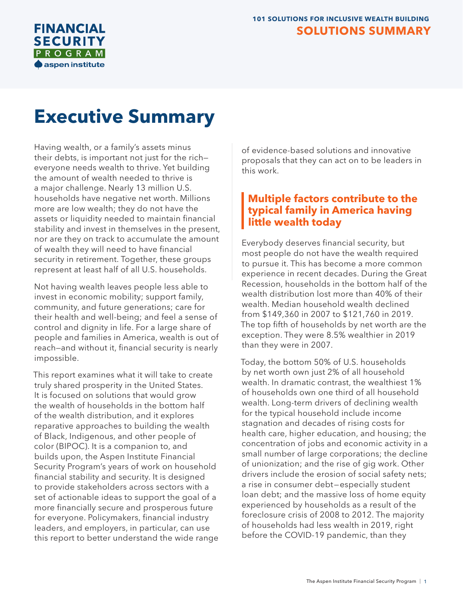

# **Executive Summary**

Having wealth, or a family's assets minus their debts, is important not just for the rich everyone needs wealth to thrive. Yet building the amount of wealth needed to thrive is a major challenge. Nearly 13 million U.S. households have negative net worth. Millions more are low wealth; they do not have the assets or liquidity needed to maintain financial stability and invest in themselves in the present, nor are they on track to accumulate the amount of wealth they will need to have financial security in retirement. Together, these groups represent at least half of all U.S. households.

Not having wealth leaves people less able to invest in economic mobility; support family, community, and future generations; care for their health and well-being; and feel a sense of control and dignity in life. For a large share of people and families in America, wealth is out of reach—and without it, financial security is nearly impossible.

This report examines what it will take to create truly shared prosperity in the United States. It is focused on solutions that would grow the wealth of households in the bottom half of the wealth distribution, and it explores reparative approaches to building the wealth of Black, Indigenous, and other people of color (BIPOC). It is a companion to, and builds upon, the Aspen Institute Financial Security Program's years of work on household financial stability and security. It is designed to provide stakeholders across sectors with a set of actionable ideas to support the goal of a more financially secure and prosperous future for everyone. Policymakers, financial industry leaders, and employers, in particular, can use this report to better understand the wide range of evidence-based solutions and innovative proposals that they can act on to be leaders in this work.

## **Multiple factors contribute to the typical family in America having little wealth today**

Everybody deserves financial security, but most people do not have the wealth required to pursue it. This has become a more common experience in recent decades. During the Great Recession, households in the bottom half of the wealth distribution lost more than 40% of their wealth. Median household wealth declined from \$149,360 in 2007 to \$121,760 in 2019. The top fifth of households by net worth are the exception. They were 8.5% wealthier in 2019 than they were in 2007.

Today, the bottom 50% of U.S. households by net worth own just 2% of all household wealth. In dramatic contrast, the wealthiest 1% of households own one third of all household wealth. Long-term drivers of declining wealth for the typical household include income stagnation and decades of rising costs for health care, higher education, and housing; the concentration of jobs and economic activity in a small number of large corporations; the decline of unionization; and the rise of gig work. Other drivers include the erosion of social safety nets; a rise in consumer debt—especially student loan debt; and the massive loss of home equity experienced by households as a result of the foreclosure crisis of 2008 to 2012. The majority of households had less wealth in 2019, right before the COVID-19 pandemic, than they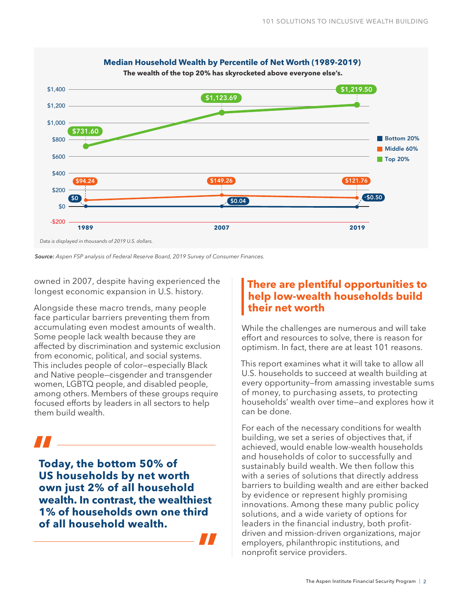

*Source: Aspen FSP analysis of Federal Reserve Board, 2019 Survey of Consumer Finances.*

owned in 2007, despite having experienced the longest economic expansion in U.S. history.

Alongside these macro trends, many people face particular barriers preventing them from accumulating even modest amounts of wealth. Some people lack wealth because they are affected by discrimination and systemic exclusion from economic, political, and social systems. This includes people of color—especially Black and Native people—cisgender and transgender women, LGBTQ people, and disabled people, among others. Members of these groups require focused efforts by leaders in all sectors to help them build wealth.

**Today, the bottom 50% of US households by net worth own just 2% of all household wealth. In contrast, the wealthiest 1% of households own one third of all household wealth. "**

## **There are plentiful opportunities to help low-wealth households build their net worth**

While the challenges are numerous and will take effort and resources to solve, there is reason for optimism. In fact, there are at least 101 reasons.

This report examines what it will take to allow all U.S. households to succeed at wealth building at every opportunity—from amassing investable sums of money, to purchasing assets, to protecting households' wealth over time—and explores how it can be done.

For each of the necessary conditions for wealth building, we set a series of objectives that, if achieved, would enable low-wealth households and households of color to successfully and sustainably build wealth. We then follow this with a series of solutions that directly address barriers to building wealth and are either backed by evidence or represent highly promising innovations. Among these many public policy solutions, and a wide variety of options for leaders in the financial industry, both profitdriven and mission-driven organizations, major employers, philanthropic institutions, and nonprofit service providers.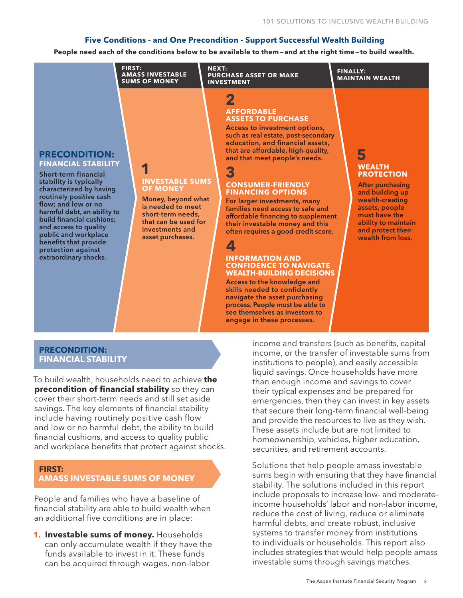#### **Five Conditions - and One Precondition - Support Successful Wealth Building**

**People need each of the conditions below to be available to them—and at the right time—to build wealth.**



#### **PRECONDITION: FINANCIAL STABILITY**

To build wealth, households need to achieve **the precondition of financial stability** so they can cover their short-term needs and still set aside savings. The key elements of financial stability include having routinely positive cash flow and low or no harmful debt, the ability to build financial cushions, and access to quality public and workplace benefits that protect against shocks.

#### **FIRST: AMASS INVESTABLE SUMS OF MONEY**

People and families who have a baseline of financial stability are able to build wealth when an additional five conditions are in place:

**1. Investable sums of money.** Households can only accumulate wealth if they have the funds available to invest in it. These funds can be acquired through wages, non-labor

income, or the transfer of investable sums from institutions to people), and easily accessible liquid savings. Once households have more than enough income and savings to cover their typical expenses and be prepared for emergencies, then they can invest in key assets that secure their long-term financial well-being and provide the resources to live as they wish. These assets include but are not limited to homeownership, vehicles, higher education, securities, and retirement accounts.

Solutions that help people amass investable sums begin with ensuring that they have financial stability. The solutions included in this report include proposals to increase low- and moderateincome households' labor and non-labor income, reduce the cost of living, reduce or eliminate harmful debts, and create robust, inclusive systems to transfer money from institutions to individuals or households. This report also includes strategies that would help people amass investable sums through savings matches.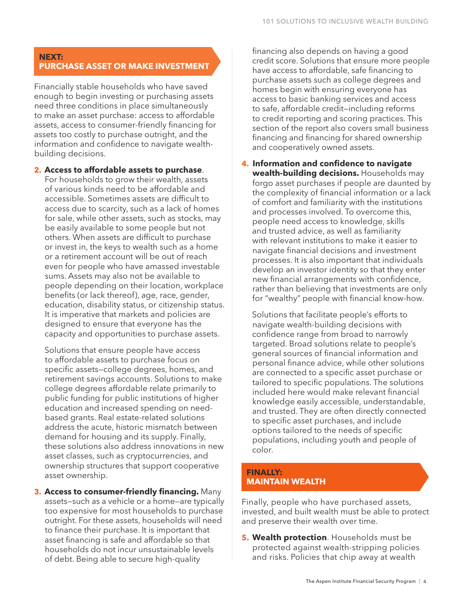#### **NEXT: PURCHASE ASSET OR MAKE INVESTMENT**

Financially stable households who have saved enough to begin investing or purchasing assets need three conditions in place simultaneously to make an asset purchase: access to affordable assets, access to consumer-friendly financing for assets too costly to purchase outright, and the information and confidence to navigate wealthbuilding decisions.

**2. Access to affordable assets to purchase**. For households to grow their wealth, assets of various kinds need to be affordable and accessible. Sometimes assets are difficult to access due to scarcity, such as a lack of homes for sale, while other assets, such as stocks, may be easily available to some people but not others. When assets are difficult to purchase or invest in, the keys to wealth such as a home or a retirement account will be out of reach even for people who have amassed investable sums. Assets may also not be available to people depending on their location, workplace benefits (or lack thereof), age, race, gender, education, disability status, or citizenship status. It is imperative that markets and policies are designed to ensure that everyone has the capacity and opportunities to purchase assets.

Solutions that ensure people have access to affordable assets to purchase focus on specific assets—college degrees, homes, and retirement savings accounts. Solutions to make college degrees affordable relate primarily to public funding for public institutions of higher education and increased spending on needbased grants. Real estate-related solutions address the acute, historic mismatch between demand for housing and its supply. Finally, these solutions also address innovations in new asset classes, such as cryptocurrencies, and ownership structures that support cooperative asset ownership.

**3. Access to consumer-friendly financing.** Many assets—such as a vehicle or a home—are typically too expensive for most households to purchase outright. For these assets, households will need to finance their purchase. It is important that asset financing is safe and affordable so that households do not incur unsustainable levels of debt. Being able to secure high-quality

financing also depends on having a good credit score. Solutions that ensure more people have access to affordable, safe financing to purchase assets such as college degrees and homes begin with ensuring everyone has access to basic banking services and access to safe, affordable credit—including reforms to credit reporting and scoring practices. This section of the report also covers small business financing and financing for shared ownership and cooperatively owned assets.

**4. Information and confidence to navigate wealth-building decisions.** Households may forgo asset purchases if people are daunted by the complexity of financial information or a lack of comfort and familiarity with the institutions and processes involved. To overcome this, people need access to knowledge, skills and trusted advice, as well as familiarity with relevant institutions to make it easier to navigate financial decisions and investment processes. It is also important that individuals develop an investor identity so that they enter new financial arrangements with confidence, rather than believing that investments are only for "wealthy" people with financial know-how.

Solutions that facilitate people's efforts to navigate wealth-building decisions with confidence range from broad to narrowly targeted. Broad solutions relate to people's general sources of financial information and personal finance advice, while other solutions are connected to a specific asset purchase or tailored to specific populations. The solutions included here would make relevant financial knowledge easily accessible, understandable, and trusted. They are often directly connected to specific asset purchases, and include options tailored to the needs of specific populations, including youth and people of color.

#### **FINALLY: MAINTAIN WEALTH**

Finally, people who have purchased assets, invested, and built wealth must be able to protect and preserve their wealth over time.

**5. Wealth protection**. Households must be protected against wealth-stripping policies and risks. Policies that chip away at wealth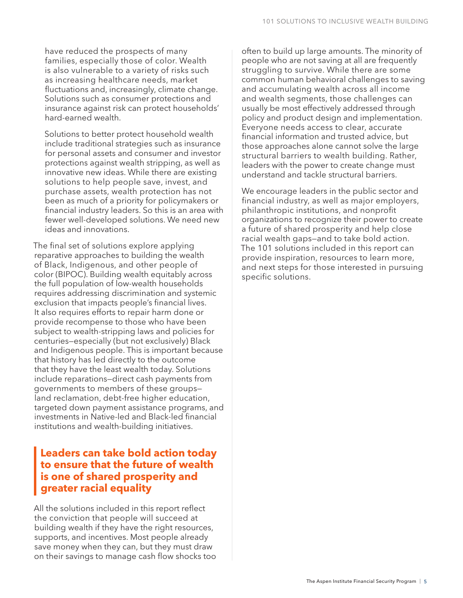have reduced the prospects of many families, especially those of color. Wealth is also vulnerable to a variety of risks such as increasing healthcare needs, market fluctuations and, increasingly, climate change. Solutions such as consumer protections and insurance against risk can protect households' hard-earned wealth.

Solutions to better protect household wealth include traditional strategies such as insurance for personal assets and consumer and investor protections against wealth stripping, as well as innovative new ideas. While there are existing solutions to help people save, invest, and purchase assets, wealth protection has not been as much of a priority for policymakers or financial industry leaders. So this is an area with fewer well-developed solutions. We need new ideas and innovations.

The final set of solutions explore applying reparative approaches to building the wealth of Black, Indigenous, and other people of color (BIPOC). Building wealth equitably across the full population of low-wealth households requires addressing discrimination and systemic exclusion that impacts people's financial lives. It also requires efforts to repair harm done or provide recompense to those who have been subject to wealth-stripping laws and policies for centuries—especially (but not exclusively) Black and Indigenous people. This is important because that history has led directly to the outcome that they have the least wealth today. Solutions include reparations—direct cash payments from governments to members of these groups land reclamation, debt-free higher education, targeted down payment assistance programs, and investments in Native-led and Black-led financial institutions and wealth-building initiatives.

## **Leaders can take bold action today to ensure that the future of wealth is one of shared prosperity and greater racial equality**

All the solutions included in this report reflect the conviction that people will succeed at building wealth if they have the right resources, supports, and incentives. Most people already save money when they can, but they must draw on their savings to manage cash flow shocks too often to build up large amounts. The minority of people who are not saving at all are frequently struggling to survive. While there are some common human behavioral challenges to saving and accumulating wealth across all income and wealth segments, those challenges can usually be most effectively addressed through policy and product design and implementation. Everyone needs access to clear, accurate financial information and trusted advice, but those approaches alone cannot solve the large structural barriers to wealth building. Rather, leaders with the power to create change must understand and tackle structural barriers.

We encourage leaders in the public sector and financial industry, as well as major employers, philanthropic institutions, and nonprofit organizations to recognize their power to create a future of shared prosperity and help close racial wealth gaps—and to take bold action. The 101 solutions included in this report can provide inspiration, resources to learn more, and next steps for those interested in pursuing specific solutions.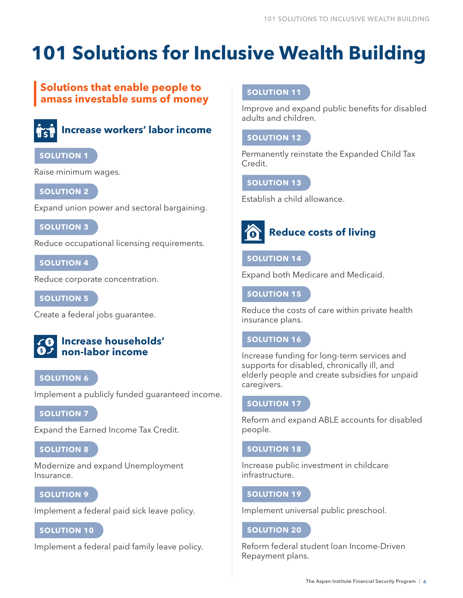# **101 Solutions for Inclusive Wealth Building**

## **Solutions that enable people to amass investable sums of money**



## **Increase workers' labor income**

### **SOLUTION 1**

Raise minimum wages.

#### **SOLUTION 2**

Expand union power and sectoral bargaining.

#### **SOLUTION 3**

Reduce occupational licensing requirements.

#### **SOLUTION 4**

Reduce corporate concentration.

**SOLUTION 5**

Create a federal jobs guarantee.

## **Increase households' non-labor income**

#### **SOLUTION 6**

Implement a publicly funded guaranteed income.

#### **SOLUTION 7**

Expand the Earned Income Tax Credit.

#### **SOLUTION 8**

Modernize and expand Unemployment Insurance.

### **SOLUTION 9**

Implement a federal paid sick leave policy.

#### **SOLUTION 10**

Implement a federal paid family leave policy.

#### **SOLUTION 11**

Improve and expand public benefits for disabled adults and children.

### **SOLUTION 12**

Permanently reinstate the Expanded Child Tax Credit.

#### **SOLUTION 13**

Establish a child allowance.



## **Reduce costs of living**

#### **SOLUTION 14**

Expand both Medicare and Medicaid.

#### **SOLUTION 15**

Reduce the costs of care within private health insurance plans.

#### **SOLUTION 16**

Increase funding for long-term services and supports for disabled, chronically ill, and elderly people and create subsidies for unpaid caregivers.

#### **SOLUTION 17**

Reform and expand ABLE accounts for disabled people.

#### **SOLUTION 18**

Increase public investment in childcare infrastructure.

#### **SOLUTION 19**

Implement universal public preschool.

#### **SOLUTION 20**

Reform federal student loan Income-Driven Repayment plans.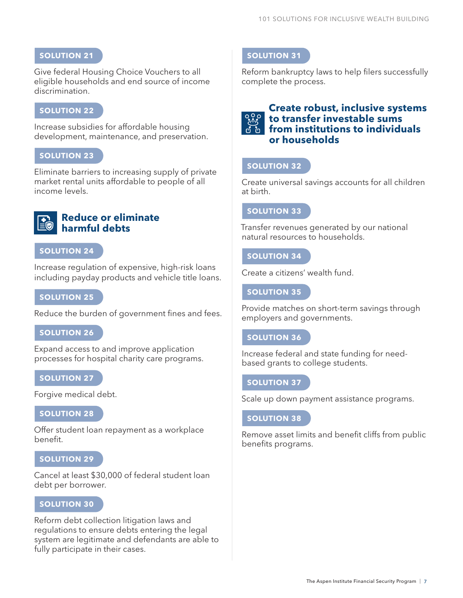#### **SOLUTION 21**

Give federal Housing Choice Vouchers to all eligible households and end source of income discrimination.

#### **SOLUTION 22**

Increase subsidies for affordable housing development, maintenance, and preservation.

#### **SOLUTION 23**

Eliminate barriers to increasing supply of private market rental units affordable to people of all income levels.

#### **Reduce or eliminate harmful debts**

#### **SOLUTION 24**

Increase regulation of expensive, high-risk loans including payday products and vehicle title loans.

#### **SOLUTION 25**

Reduce the burden of government fines and fees.

#### **SOLUTION 26**

Expand access to and improve application processes for hospital charity care programs.

#### **SOLUTION 27**

Forgive medical debt.

#### **SOLUTION 28**

Offer student loan repayment as a workplace benefit.

#### **SOLUTION 29**

Cancel at least \$30,000 of federal student loan debt per borrower.

#### **SOLUTION 30**

Reform debt collection litigation laws and regulations to ensure debts entering the legal system are legitimate and defendants are able to fully participate in their cases.

#### **SOLUTION 31**

Reform bankruptcy laws to help filers successfully complete the process.

#### **Create robust, inclusive systems to transfer investable sums from institutions to individuals or households**

#### **SOLUTION 32**

Create universal savings accounts for all children at birth.

#### **SOLUTION 33**

Transfer revenues generated by our national natural resources to households.

#### **SOLUTION 34**

Create a citizens' wealth fund.

#### **SOLUTION 35**

Provide matches on short-term savings through employers and governments.

#### **SOLUTION 36**

Increase federal and state funding for needbased grants to college students.

#### **SOLUTION 37**

Scale up down payment assistance programs.

#### **SOLUTION 38**

Remove asset limits and benefit cliffs from public benefits programs.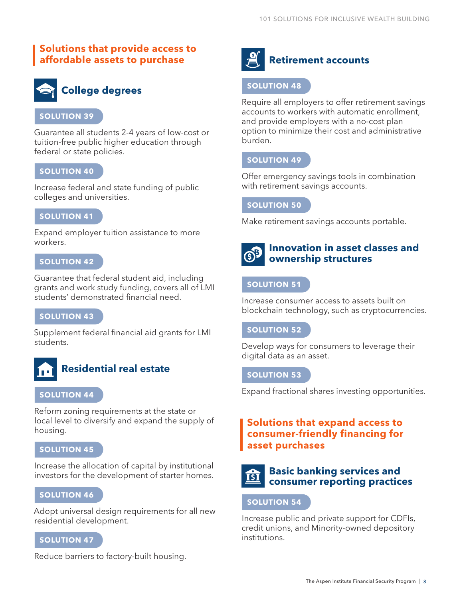## **Solutions that provide access to affordable assets to purchase**



#### **SOLUTION 39**

Guarantee all students 2-4 years of low-cost or tuition-free public higher education through federal or state policies.

#### **SOLUTION 40**

Increase federal and state funding of public colleges and universities.

#### **SOLUTION 41**

Expand employer tuition assistance to more workers.

#### **SOLUTION 42**

Guarantee that federal student aid, including grants and work study funding, covers all of LMI students' demonstrated financial need.

#### **SOLUTION 43**

Supplement federal financial aid grants for LMI students.



## **Residential real estate**

#### **SOLUTION 44**

Reform zoning requirements at the state or local level to diversify and expand the supply of housing.

#### **SOLUTION 45**

Increase the allocation of capital by institutional investors for the development of starter homes.

#### **SOLUTION 46**

Adopt universal design requirements for all new residential development.

#### **SOLUTION 47**

Reduce barriers to factory-built housing.



## **Retirement accounts**

#### **SOLUTION 48**

Require all employers to offer retirement savings accounts to workers with automatic enrollment, and provide employers with a no-cost plan option to minimize their cost and administrative burden.

#### **SOLUTION 49**

Offer emergency savings tools in combination with retirement savings accounts.

#### **SOLUTION 50**

Make retirement savings accounts portable.



#### **Innovation in asset classes and ownership structures**

#### **SOLUTION 51**

Increase consumer access to assets built on blockchain technology, such as cryptocurrencies.

#### **SOLUTION 52**

Develop ways for consumers to leverage their digital data as an asset.

#### **SOLUTION 53**

Expand fractional shares investing opportunities.

### **Solutions that expand access to consumer-friendly financing for asset purchases**



#### **Basic banking services and consumer reporting practices**

#### **SOLUTION 54**

Increase public and private support for CDFIs, credit unions, and Minority-owned depository institutions.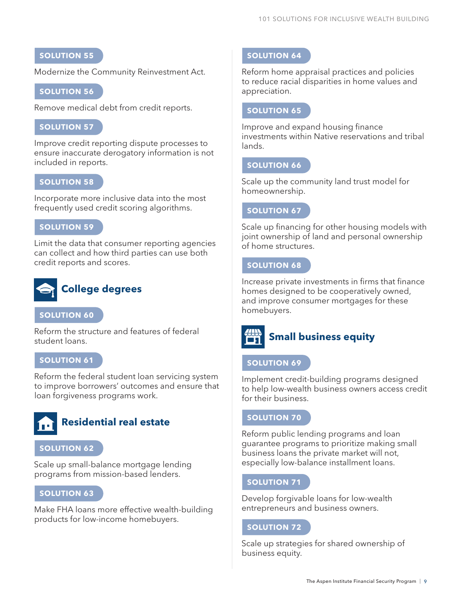### **SOLUTION 55**

Modernize the Community Reinvestment Act.

#### **SOLUTION 56**

Remove medical debt from credit reports.

#### **SOLUTION 57**

Improve credit reporting dispute processes to ensure inaccurate derogatory information is not included in reports.

#### **SOLUTION 58**

Incorporate more inclusive data into the most frequently used credit scoring algorithms.

#### **SOLUTION 59**

Limit the data that consumer reporting agencies can collect and how third parties can use both credit reports and scores.



#### **SOLUTION 60**

Reform the structure and features of federal student loans.

#### **SOLUTION 61**

Reform the federal student loan servicing system to improve borrowers' outcomes and ensure that loan forgiveness programs work.



#### **SOLUTION 62**

Scale up small-balance mortgage lending programs from mission-based lenders.

#### **SOLUTION 63**

Make FHA loans more effective wealth-building products for low-income homebuyers.

#### **SOLUTION 64**

Reform home appraisal practices and policies to reduce racial disparities in home values and appreciation.

#### **SOLUTION 65**

Improve and expand housing finance investments within Native reservations and tribal lands.

#### **SOLUTION 66**

Scale up the community land trust model for homeownership.

#### **SOLUTION 67**

Scale up financing for other housing models with joint ownership of land and personal ownership of home structures.

#### **SOLUTION 68**

Increase private investments in firms that finance homes designed to be cooperatively owned, and improve consumer mortgages for these homebuyers.



#### **SOLUTION 69**

Implement credit-building programs designed to help low-wealth business owners access credit for their business.

#### **SOLUTION 70**

Reform public lending programs and loan guarantee programs to prioritize making small business loans the private market will not, especially low-balance installment loans.

#### **SOLUTION 71**

Develop forgivable loans for low-wealth entrepreneurs and business owners.

#### **SOLUTION 72**

Scale up strategies for shared ownership of business equity.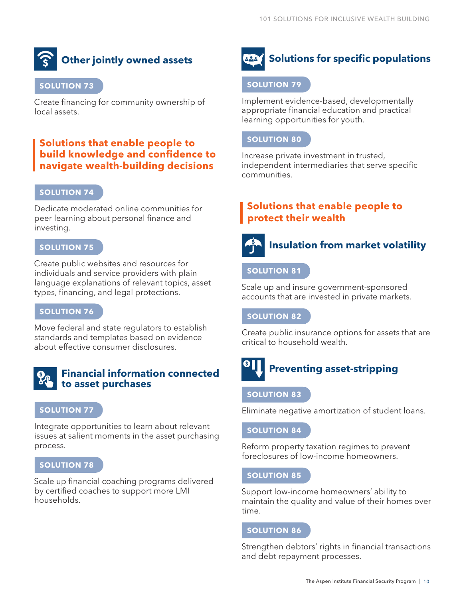## **Other jointly owned assets**

#### **SOLUTION 73**

Create financing for community ownership of local assets.

## **Solutions that enable people to build knowledge and confidence to navigate wealth-building decisions**

#### **SOLUTION 74**

Dedicate moderated online communities for peer learning about personal finance and investing.

#### **SOLUTION 75**

Create public websites and resources for individuals and service providers with plain language explanations of relevant topics, asset types, financing, and legal protections.

#### **SOLUTION 76**

Move federal and state regulators to establish standards and templates based on evidence about effective consumer disclosures.

#### **Financial information connected to asset purchases**

#### **SOLUTION 77**

Integrate opportunities to learn about relevant issues at salient moments in the asset purchasing process.

#### **SOLUTION 78**

Scale up financial coaching programs delivered by certified coaches to support more LMI households.

#### **Solutions for specific populations** أذهم

#### **SOLUTION 79**

Implement evidence-based, developmentally appropriate financial education and practical learning opportunities for youth.

#### **SOLUTION 80**

Increase private investment in trusted, independent intermediaries that serve specific communities.

## **Solutions that enable people to protect their wealth**



## **Insulation from market volatility**

#### **SOLUTION 81**

Scale up and insure government-sponsored accounts that are invested in private markets.

**SOLUTION 82**

Create public insurance options for assets that are critical to household wealth.

## **Preventing asset-stripping**

#### **SOLUTION 83**

Eliminate negative amortization of student loans.

#### **SOLUTION 84**

Reform property taxation regimes to prevent foreclosures of low-income homeowners.

#### **SOLUTION 85**

Support low-income homeowners' ability to maintain the quality and value of their homes over time.

#### **SOLUTION 86**

Strengthen debtors' rights in financial transactions and debt repayment processes.